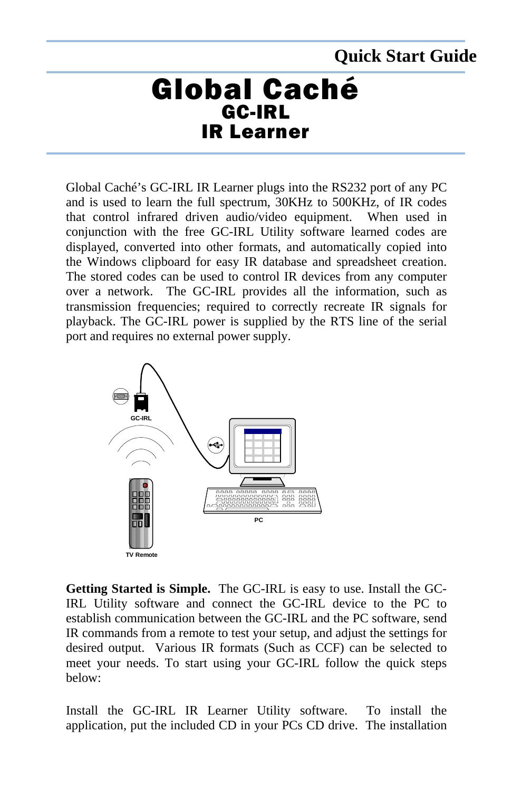## **Quick Start Guide**

## Global Caché GC-IRL IR Learner

Global Caché's GC-IRL IR Learner plugs into the RS232 port of any PC and is used to learn the full spectrum, 30KHz to 500KHz, of IR codes that control infrared driven audio/video equipment. When used in conjunction with the free GC-IRL Utility software learned codes are displayed, converted into other formats, and automatically copied into the Windows clipboard for easy IR database and spreadsheet creation. The stored codes can be used to control IR devices from any computer over a network. The GC-IRL provides all the information, such as transmission frequencies; required to correctly recreate IR signals for playback. The GC-IRL power is supplied by the RTS line of the serial port and requires no external power supply.



**Getting Started is Simple.** The GC-IRL is easy to use. Install the GC-IRL Utility software and connect the GC-IRL device to the PC to establish communication between the GC-IRL and the PC software, send IR commands from a remote to test your setup, and adjust the settings for desired output. Various IR formats (Such as CCF) can be selected to meet your needs. To start using your GC-IRL follow the quick steps below:

Install the GC-IRL IR Learner Utility software. To install the application, put the included CD in your PCs CD drive. The installation